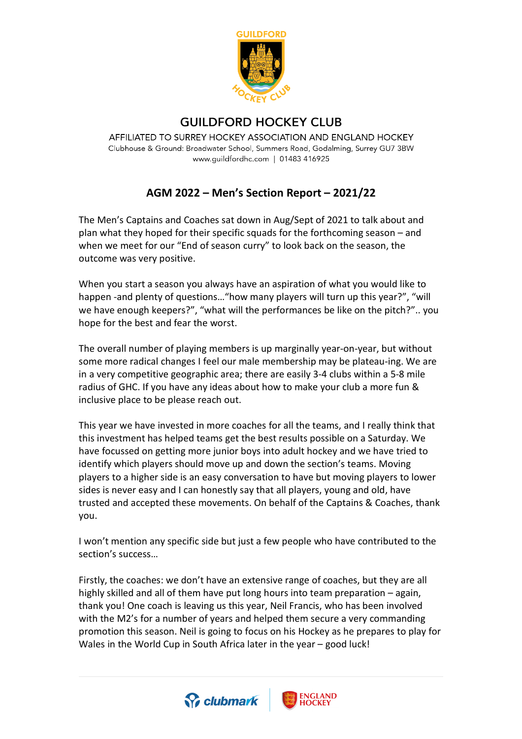

## **GUILDFORD HOCKEY CLUB**

AFFILIATED TO SURREY HOCKEY ASSOCIATION AND ENGLAND HOCKEY Clubhouse & Ground: Broadwater School, Summers Road, Godalming, Surrey GU7 3BW www.guildfordhc.com | 01483 416925

## **AGM 2022 – Men's Section Report – 2021/22**

The Men's Captains and Coaches sat down in Aug/Sept of 2021 to talk about and plan what they hoped for their specific squads for the forthcoming season – and when we meet for our "End of season curry" to look back on the season, the outcome was very positive.

When you start a season you always have an aspiration of what you would like to happen -and plenty of questions…"how many players will turn up this year?", "will we have enough keepers?", "what will the performances be like on the pitch?".. you hope for the best and fear the worst.

The overall number of playing members is up marginally year-on-year, but without some more radical changes I feel our male membership may be plateau-ing. We are in a very competitive geographic area; there are easily 3-4 clubs within a 5-8 mile radius of GHC. If you have any ideas about how to make your club a more fun & inclusive place to be please reach out.

This year we have invested in more coaches for all the teams, and I really think that this investment has helped teams get the best results possible on a Saturday. We have focussed on getting more junior boys into adult hockey and we have tried to identify which players should move up and down the section's teams. Moving players to a higher side is an easy conversation to have but moving players to lower sides is never easy and I can honestly say that all players, young and old, have trusted and accepted these movements. On behalf of the Captains & Coaches, thank you.

I won't mention any specific side but just a few people who have contributed to the section's success…

Firstly, the coaches: we don't have an extensive range of coaches, but they are all highly skilled and all of them have put long hours into team preparation – again, thank you! One coach is leaving us this year, Neil Francis, who has been involved with the M2's for a number of years and helped them secure a very commanding promotion this season. Neil is going to focus on his Hockey as he prepares to play for Wales in the World Cup in South Africa later in the year – good luck!



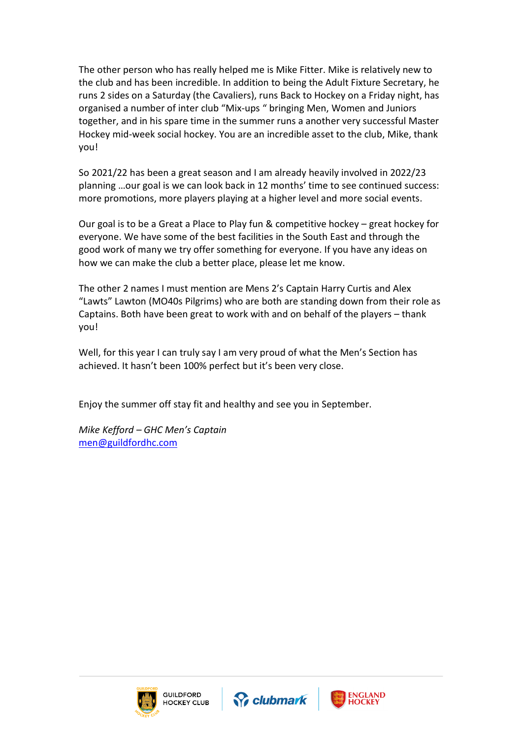The other person who has really helped me is Mike Fitter. Mike is relatively new to the club and has been incredible. In addition to being the Adult Fixture Secretary, he runs 2 sides on a Saturday (the Cavaliers), runs Back to Hockey on a Friday night, has organised a number of inter club "Mix-ups " bringing Men, Women and Juniors together, and in his spare time in the summer runs a another very successful Master Hockey mid-week social hockey. You are an incredible asset to the club, Mike, thank you!

So 2021/22 has been a great season and I am already heavily involved in 2022/23 planning …our goal is we can look back in 12 months' time to see continued success: more promotions, more players playing at a higher level and more social events.

Our goal is to be a Great a Place to Play fun & competitive hockey – great hockey for everyone. We have some of the best facilities in the South East and through the good work of many we try offer something for everyone. If you have any ideas on how we can make the club a better place, please let me know.

The other 2 names I must mention are Mens 2's Captain Harry Curtis and Alex "Lawts" Lawton (MO40s Pilgrims) who are both are standing down from their role as Captains. Both have been great to work with and on behalf of the players – thank you!

Well, for this year I can truly say I am very proud of what the Men's Section has achieved. It hasn't been 100% perfect but it's been very close.

Enjoy the summer off stay fit and healthy and see you in September.

*Mike Kefford – GHC Men's Captain* [men@guildfordhc.com](mailto:men@guildfordhc.com)